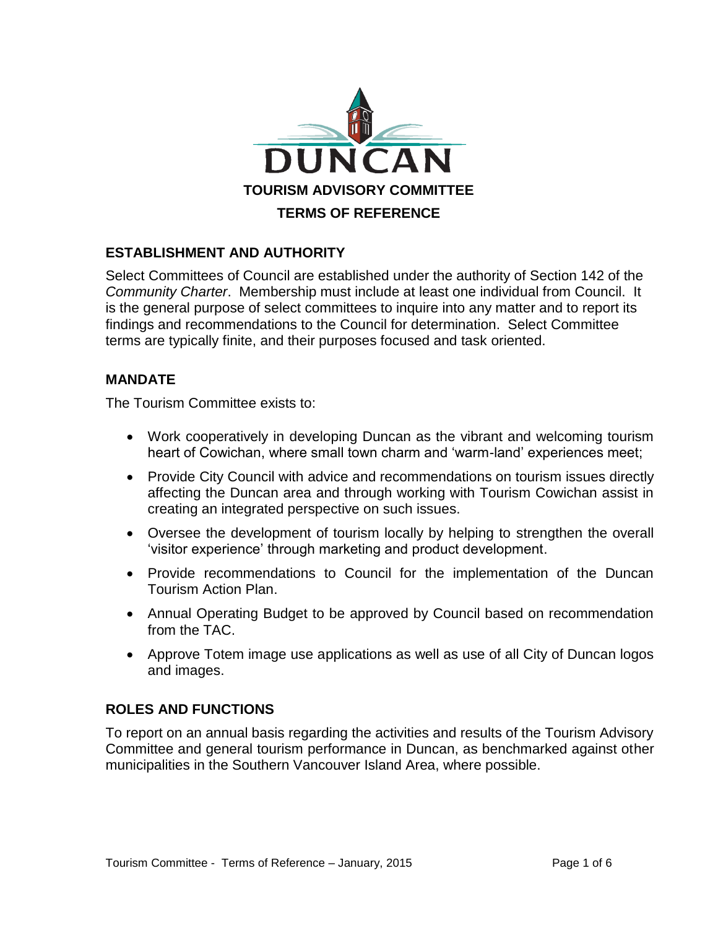

## **ESTABLISHMENT AND AUTHORITY**

Select Committees of Council are established under the authority of Section 142 of the *Community Charter*. Membership must include at least one individual from Council. It is the general purpose of select committees to inquire into any matter and to report its findings and recommendations to the Council for determination. Select Committee terms are typically finite, and their purposes focused and task oriented.

# **MANDATE**

The Tourism Committee exists to:

- Work cooperatively in developing Duncan as the vibrant and welcoming tourism heart of Cowichan, where small town charm and 'warm-land' experiences meet;
- Provide City Council with advice and recommendations on tourism issues directly affecting the Duncan area and through working with Tourism Cowichan assist in creating an integrated perspective on such issues.
- Oversee the development of tourism locally by helping to strengthen the overall 'visitor experience' through marketing and product development.
- Provide recommendations to Council for the implementation of the Duncan Tourism Action Plan.
- Annual Operating Budget to be approved by Council based on recommendation from the TAC.
- Approve Totem image use applications as well as use of all City of Duncan logos and images.

## **ROLES AND FUNCTIONS**

To report on an annual basis regarding the activities and results of the Tourism Advisory Committee and general tourism performance in Duncan, as benchmarked against other municipalities in the Southern Vancouver Island Area, where possible.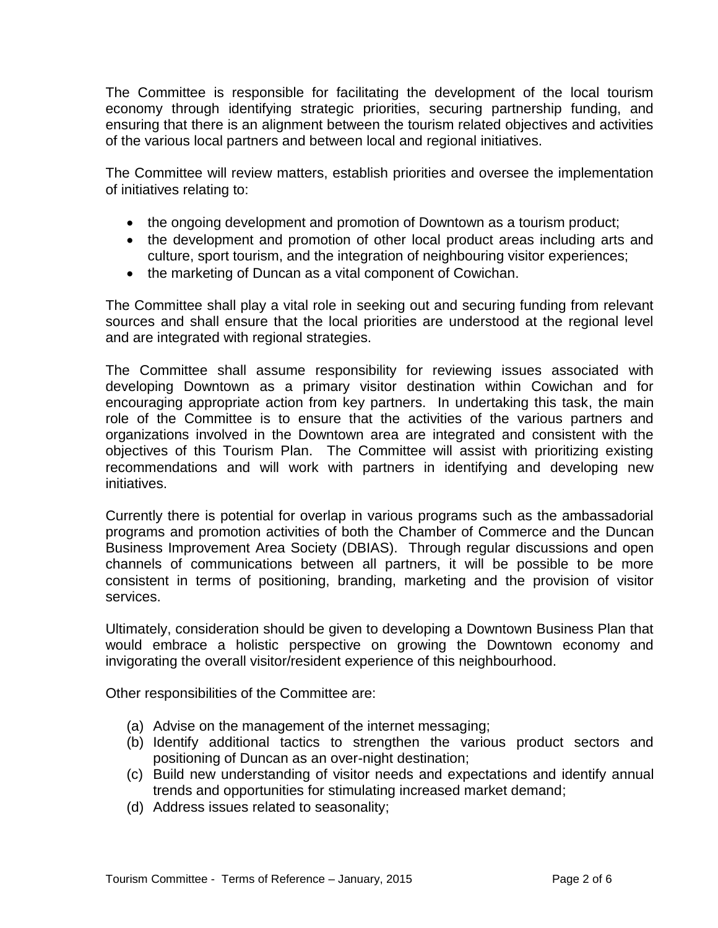The Committee is responsible for facilitating the development of the local tourism economy through identifying strategic priorities, securing partnership funding, and ensuring that there is an alignment between the tourism related objectives and activities of the various local partners and between local and regional initiatives.

The Committee will review matters, establish priorities and oversee the implementation of initiatives relating to:

- the ongoing development and promotion of Downtown as a tourism product;
- the development and promotion of other local product areas including arts and culture, sport tourism, and the integration of neighbouring visitor experiences;
- the marketing of Duncan as a vital component of Cowichan.

The Committee shall play a vital role in seeking out and securing funding from relevant sources and shall ensure that the local priorities are understood at the regional level and are integrated with regional strategies.

The Committee shall assume responsibility for reviewing issues associated with developing Downtown as a primary visitor destination within Cowichan and for encouraging appropriate action from key partners. In undertaking this task, the main role of the Committee is to ensure that the activities of the various partners and organizations involved in the Downtown area are integrated and consistent with the objectives of this Tourism Plan. The Committee will assist with prioritizing existing recommendations and will work with partners in identifying and developing new initiatives.

Currently there is potential for overlap in various programs such as the ambassadorial programs and promotion activities of both the Chamber of Commerce and the Duncan Business Improvement Area Society (DBIAS). Through regular discussions and open channels of communications between all partners, it will be possible to be more consistent in terms of positioning, branding, marketing and the provision of visitor services.

Ultimately, consideration should be given to developing a Downtown Business Plan that would embrace a holistic perspective on growing the Downtown economy and invigorating the overall visitor/resident experience of this neighbourhood.

Other responsibilities of the Committee are:

- (a) Advise on the management of the internet messaging;
- (b) Identify additional tactics to strengthen the various product sectors and positioning of Duncan as an over-night destination;
- (c) Build new understanding of visitor needs and expectations and identify annual trends and opportunities for stimulating increased market demand;
- (d) Address issues related to seasonality;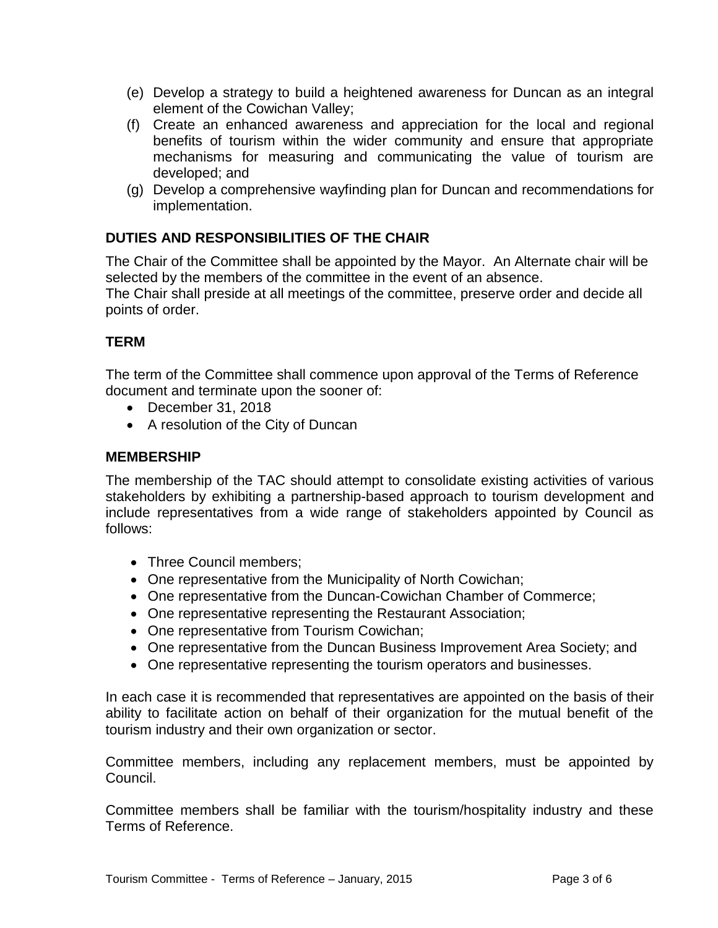- (e) Develop a strategy to build a heightened awareness for Duncan as an integral element of the Cowichan Valley;
- (f) Create an enhanced awareness and appreciation for the local and regional benefits of tourism within the wider community and ensure that appropriate mechanisms for measuring and communicating the value of tourism are developed; and
- (g) Develop a comprehensive wayfinding plan for Duncan and recommendations for implementation.

# **DUTIES AND RESPONSIBILITIES OF THE CHAIR**

The Chair of the Committee shall be appointed by the Mayor. An Alternate chair will be selected by the members of the committee in the event of an absence.

The Chair shall preside at all meetings of the committee, preserve order and decide all points of order.

# **TERM**

The term of the Committee shall commence upon approval of the Terms of Reference document and terminate upon the sooner of:

- December 31, 2018
- A resolution of the City of Duncan

## **MEMBERSHIP**

The membership of the TAC should attempt to consolidate existing activities of various stakeholders by exhibiting a partnership-based approach to tourism development and include representatives from a wide range of stakeholders appointed by Council as follows:

- Three Council members:
- One representative from the Municipality of North Cowichan;
- One representative from the Duncan-Cowichan Chamber of Commerce;
- One representative representing the Restaurant Association;
- One representative from Tourism Cowichan;
- One representative from the Duncan Business Improvement Area Society; and
- One representative representing the tourism operators and businesses.

In each case it is recommended that representatives are appointed on the basis of their ability to facilitate action on behalf of their organization for the mutual benefit of the tourism industry and their own organization or sector.

Committee members, including any replacement members, must be appointed by Council.

Committee members shall be familiar with the tourism/hospitality industry and these Terms of Reference.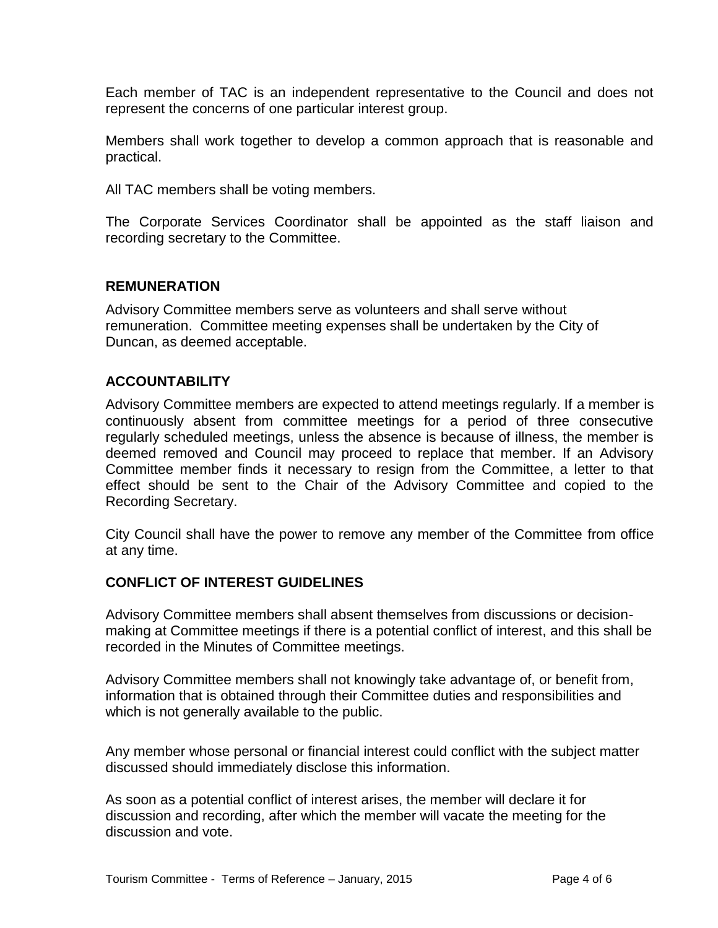Each member of TAC is an independent representative to the Council and does not represent the concerns of one particular interest group.

Members shall work together to develop a common approach that is reasonable and practical.

All TAC members shall be voting members.

The Corporate Services Coordinator shall be appointed as the staff liaison and recording secretary to the Committee.

### **REMUNERATION**

Advisory Committee members serve as volunteers and shall serve without remuneration. Committee meeting expenses shall be undertaken by the City of Duncan, as deemed acceptable.

## **ACCOUNTABILITY**

Advisory Committee members are expected to attend meetings regularly. If a member is continuously absent from committee meetings for a period of three consecutive regularly scheduled meetings, unless the absence is because of illness, the member is deemed removed and Council may proceed to replace that member. If an Advisory Committee member finds it necessary to resign from the Committee, a letter to that effect should be sent to the Chair of the Advisory Committee and copied to the Recording Secretary.

City Council shall have the power to remove any member of the Committee from office at any time.

#### **CONFLICT OF INTEREST GUIDELINES**

Advisory Committee members shall absent themselves from discussions or decisionmaking at Committee meetings if there is a potential conflict of interest, and this shall be recorded in the Minutes of Committee meetings.

Advisory Committee members shall not knowingly take advantage of, or benefit from, information that is obtained through their Committee duties and responsibilities and which is not generally available to the public.

Any member whose personal or financial interest could conflict with the subject matter discussed should immediately disclose this information.

As soon as a potential conflict of interest arises, the member will declare it for discussion and recording, after which the member will vacate the meeting for the discussion and vote.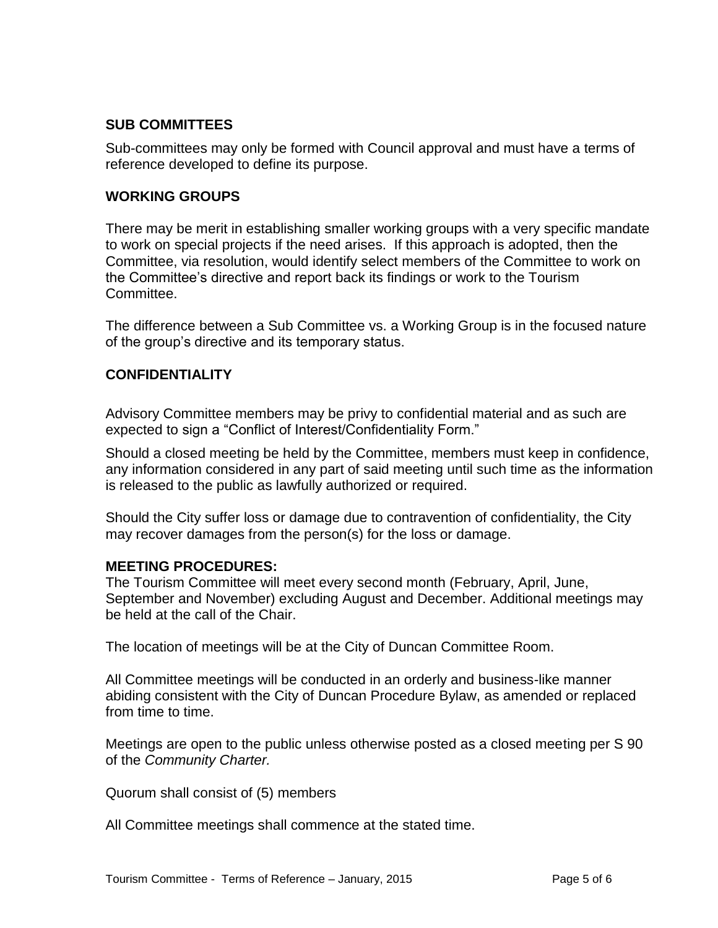## **SUB COMMITTEES**

Sub-committees may only be formed with Council approval and must have a terms of reference developed to define its purpose.

### **WORKING GROUPS**

There may be merit in establishing smaller working groups with a very specific mandate to work on special projects if the need arises. If this approach is adopted, then the Committee, via resolution, would identify select members of the Committee to work on the Committee's directive and report back its findings or work to the Tourism Committee.

The difference between a Sub Committee vs. a Working Group is in the focused nature of the group's directive and its temporary status.

### **CONFIDENTIALITY**

Advisory Committee members may be privy to confidential material and as such are expected to sign a "Conflict of Interest/Confidentiality Form."

Should a closed meeting be held by the Committee, members must keep in confidence, any information considered in any part of said meeting until such time as the information is released to the public as lawfully authorized or required.

Should the City suffer loss or damage due to contravention of confidentiality, the City may recover damages from the person(s) for the loss or damage.

#### **MEETING PROCEDURES:**

The Tourism Committee will meet every second month (February, April, June, September and November) excluding August and December. Additional meetings may be held at the call of the Chair.

The location of meetings will be at the City of Duncan Committee Room.

All Committee meetings will be conducted in an orderly and business-like manner abiding consistent with the City of Duncan Procedure Bylaw, as amended or replaced from time to time.

Meetings are open to the public unless otherwise posted as a closed meeting per S 90 of the *Community Charter.*

Quorum shall consist of (5) members

All Committee meetings shall commence at the stated time.